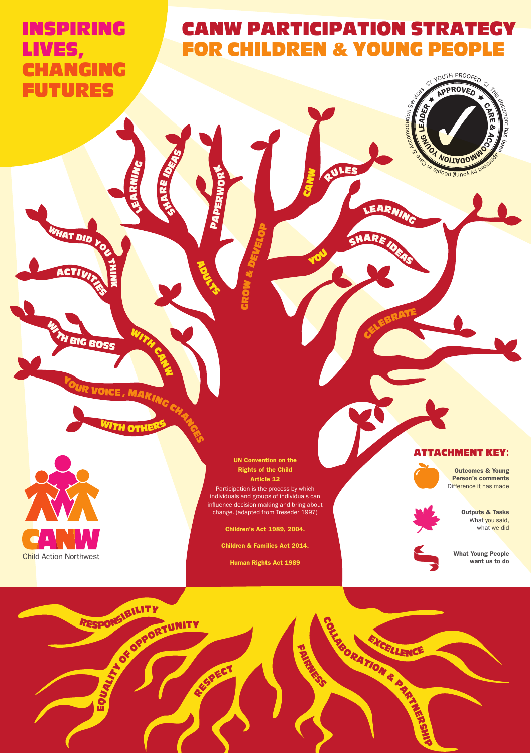# INSPIRING LIVES, **CHANGING** FUTURES

**ACTIVITY** 

TH $\overline{\phantom{a}}$ N  $\blacksquare$ 

WAT DID YO

**BIG BOSS** 

# CANW PARTICIPATION STRATEGY FOR CHILDREN & YOUNG PEOPLE

<sup>R</sup>ULE<sup>S</sup>

<sup>S</sup>HAR<sup>E</sup> <sup>I</sup>DE<sup>A</sup>

CELEBRATE

EARA

S

<sup>Y</sup>O<sup>U</sup>

**CANW** 



**MAKING CH** 

WITH CAN

TH OT

#### UN Convention on the Rights of the Child Article 12

GROW &

Q,

**RDULTS** 

APERWO

 $\mathbf{r}$ 

SHARE IDEAS

LEA RNING

DEVELO

g,

Participation is the process by which individuals and groups of individuals can influence decision making and bring about change. (adapted from Treseder 1997)

Children's Act 1989, 2004.

Children & Families Act 2014.

Human Rights Act 1989



Outcomes & Young Person's comments Difference it has made

مع<br>المع & **OWING** 

 $\delta$ menhas been **MW** paroida

**WOITAG** 

do<sub>ed</sub> gunok

YOUTH PROOFED

**YOUNG LEADER** 

el ni Ca er Ca er Ca er Services Services

Outputs & Tasks What you said, what we did

What Young People want us to do